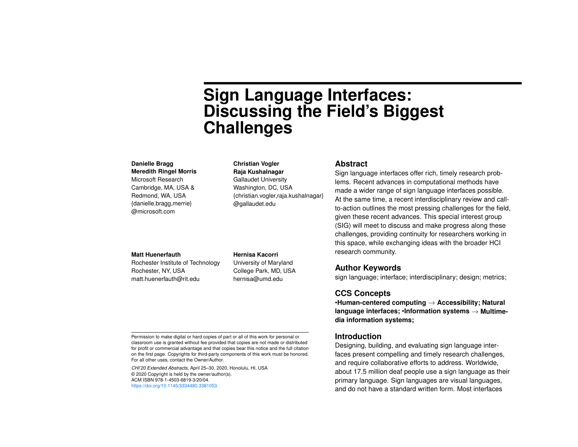# **Sign Language Interfaces: Discussing the Field's Biggest Challenges**

#### **Danielle Bragg**

**Meredith Ringel Morris** Microsoft Research Cambridge, MA, USA & Redmond, WA, USA {danielle.bragg,merrie} [@microsoft.com](https://microsoft.com) 

## **Christian Vogler**

**Raja Kushalnagar** Gallaudet University Washington, DC, USA {christian.vogler,raja.kushalnagar} [@gallaudet.edu](https://gallaudet.edu) 

#### **Abstract**

Sign language interfaces offer rich, timely research problems. Recent advances in computational methods have made a wider range of sign language interfaces possible. At the same time, a recent interdisciplinary review and callto-action outlines the most pressing challenges for the field, given these recent advances. This special interest group (SIG) will meet to discuss and make progress along these challenges, providing continuity for researchers working in this space, while exchanging ideas with the broader HCI research community.

#### **Matt Huenerfauth**

Rochester Institute of Technology Rochester, NY, USA [matt.huenerfauth@rit.edu](mailto:matt.huenerfauth@rit.edu)

**Hernisa Kacorri** University of Maryland College Park, MD, USA

[hernisa@umd.edu](mailto:hernisa@umd.edu)

## **Author Keywords**

sign language; interface; interdisciplinary; design; metrics;

#### **CCS Concepts**

•**Human-centered computing** → **Accessibility; Natural language interfaces;** •**Information systems** → **Multimedia information systems;**

#### **Introduction**

Designing, building, and evaluating sign language interfaces present compelling and timely research challenges, and require collaborative efforts to address. Worldwide, about 17.5 million deaf people use a sign language as their primary language. Sign languages are visual languages, and do not have a standard written form. Most interfaces

Permission to make digital or hard copies of part or all of this work for personal or classroom use is granted without fee provided that copies are not made or distributed for profit or commercial advantage and that copies bear this notice and the full citation on the frst page. Copyrights for third-party components of this work must be honored. For all other uses, contact the Owner/Author.

*CHI'20 Extended Abstracts*, April 25–30, 2020, Honolulu, HI, USA © 2020 Copyright is held by the owner/author(s). ACM ISBN 978-1-4503-6819-3/20/04. <https://doi.org/10.1145/3334480.3381053>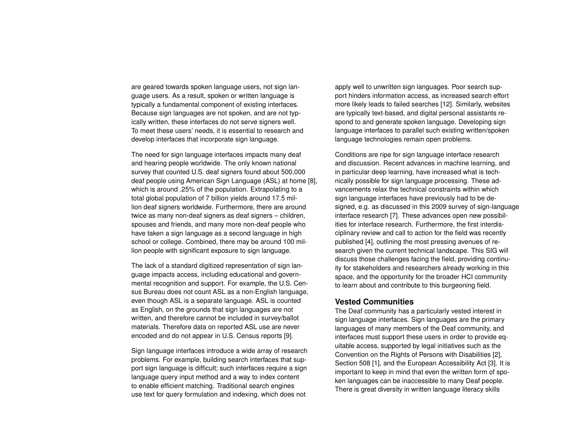are geared towards spoken language users, not sign language users. As a result, spoken or written language is typically a fundamental component of existing interfaces. Because sign languages are not spoken, and are not typically written, these interfaces do not serve signers well. To meet these users' needs, it is essential to research and develop interfaces that incorporate sign language.

The need for sign language interfaces impacts many deaf and hearing people worldwide. The only known national survey that counted U.S. deaf signers found about 500,000 deaf people using American Sign Language (ASL) at home [\[8\]](#page-3-0), which is around .25% of the population. Extrapolating to a total global population of 7 billion yields around 17.5 million deaf signers worldwide. Furthermore, there are around twice as many non-deaf signers as deaf signers – children, spouses and friends, and many more non-deaf people who have taken a sign language as a second language in high school or college. Combined, there may be around 100 million people with significant exposure to sign language.

The lack of a standard digitized representation of sign language impacts access, including educational and governmental recognition and support. For example, the U.S. Census Bureau does not count ASL as a non-English language, even though ASL is a separate language. ASL is counted as English, on the grounds that sign languages are not written, and therefore cannot be included in survey/ballot materials. Therefore data on reported ASL use are never encoded and do not appear in U.S. Census reports [\[9\]](#page-4-0).

Sign language interfaces introduce a wide array of research problems. For example, building search interfaces that support sign language is difficult; such interfaces require a sign language query input method and a way to index content to enable efficient matching. Traditional search engines use text for query formulation and indexing, which does not

apply well to unwritten sign languages. Poor search support hinders information access, as increased search effort more likely leads to failed searches [\[12\]](#page-4-1). Similarly, websites are typically text-based, and digital personal assistants respond to and generate spoken language. Developing sign language interfaces to parallel such existing written/spoken language technologies remain open problems.

Conditions are ripe for sign language interface research and discussion. Recent advances in machine learning, and in particular deep learning, have increased what is technically possible for sign language processing. These advancements relax the technical constraints within which sign language interfaces have previously had to be designed, e.g. as discussed in this 2009 survey of sign-language interface research [\[7\]](#page-3-1). These advances open new possibilities for interface research. Furthermore, the first interdisciplinary review and call to action for the field was recently published [\[4\]](#page-3-2), outlining the most pressing avenues of research given the current technical landscape. This SIG will discuss those challenges facing the field, providing continuity for stakeholders and researchers already working in this space, and the opportunity for the broader HCI community to learn about and contribute to this burgeoning feld.

#### **Vested Communities**

The Deaf community has a particularly vested interest in sign language interfaces. Sign languages are the primary languages of many members of the Deaf community, and interfaces must support these users in order to provide equitable access, supported by legal initiatives such as the Convention on the Rights of Persons with Disabilities [\[2\]](#page-3-3), Section 508 [\[1\]](#page-3-4), and the European Accessibility Act [\[3\]](#page-3-5). It is important to keep in mind that even the written form of spoken languages can be inaccessible to many Deaf people. There is great diversity in written language literacy skills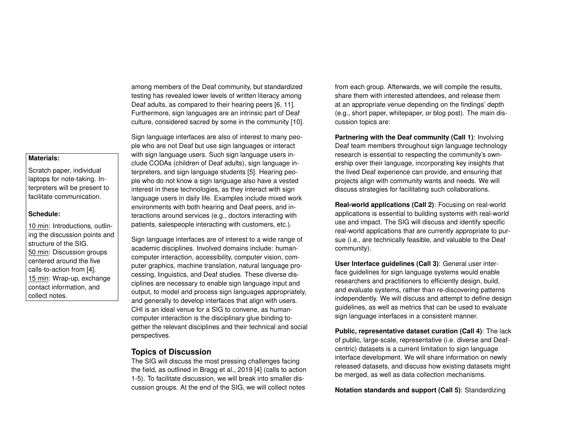among members of the Deaf community, but standardized testing has revealed lower levels of written literacy among Deaf adults, as compared to their hearing peers [\[6,](#page-3-6) [11\]](#page-4-2). Furthermore, sign languages are an intrinsic part of Deaf culture, considered sacred by some in the community [\[10\]](#page-4-3).

Sign language interfaces are also of interest to many people who are not Deaf but use sign languages or interact with sign language users. Such sign language users include CODAs (children of Deaf adults), sign language interpreters, and sign language students [\[5\]](#page-3-7). Hearing people who do not know a sign language also have a vested interest in these technologies, as they interact with sign language users in daily life. Examples include mixed work environments with both hearing and Deaf peers, and interactions around services (e.g., doctors interacting with patients, salespeople interacting with customers, etc.).

Sign language interfaces are of interest to a wide range of academic disciplines. Involved domains include: humancomputer interaction, accessibility, computer vision, computer graphics, machine translation, natural language processing, linguistics, and Deaf studies. These diverse disciplines are necessary to enable sign language input and output, to model and process sign languages appropriately, and generally to develop interfaces that align with users. CHI is an ideal venue for a SIG to convene, as humancomputer interaction is the disciplinary glue binding together the relevant disciplines and their technical and social perspectives.

# **Topics of Discussion**

The SIG will discuss the most pressing challenges facing the field, as outlined in Bragg et al., 2019 [\[4\]](#page-3-2) (calls to action 1-5). To facilitate discussion, we will break into smaller discussion groups. At the end of the SIG, we will collect notes

from each group. Afterwards, we will compile the results, share them with interested attendees, and release them at an appropriate venue depending on the fndings' depth (e.g., short paper, whitepaper, or blog post). The main discussion topics are:

**Partnering with the Deaf community (Call 1)**: Involving Deaf team members throughout sign language technology research is essential to respecting the community's ownership over their language, incorporating key insights that the lived Deaf experience can provide, and ensuring that projects align with community wants and needs. We will discuss strategies for facilitating such collaborations.

**Real-world applications (Call 2)**: Focusing on real-world applications is essential to building systems with real-world use and impact. The SIG will discuss and identify specifc real-world applications that are currently appropriate to pursue (i.e., are technically feasible, and valuable to the Deaf community).

**User Interface guidelines (Call 3)**: General user interface guidelines for sign language systems would enable researchers and practitioners to efficiently design, build, and evaluate systems, rather than re-discovering patterns independently. We will discuss and attempt to define design guidelines, as well as metrics that can be used to evaluate sign language interfaces in a consistent manner.

**Public, representative dataset curation (Call 4)**: The lack of public, large-scale, representative (i.e. diverse and Deafcentric) datasets is a current limitation to sign language interface development. We will share information on newly released datasets, and discuss how existing datasets might be merged, as well as data collection mechanisms.

**Notation standards and support (Call 5)**: Standardizing

# **Materials:**

Scratch paper, individual laptops for note-taking. Interpreters will be present to facilitate communication.

### **Schedule:**

10 min: Introductions, outlining the discussion points and structure of the SIG. 50 min: Discussion groups centered around the five calls-to-action from [\[4\]](#page-3-2). 15 min: Wrap-up, exchange contact information, and collect notes.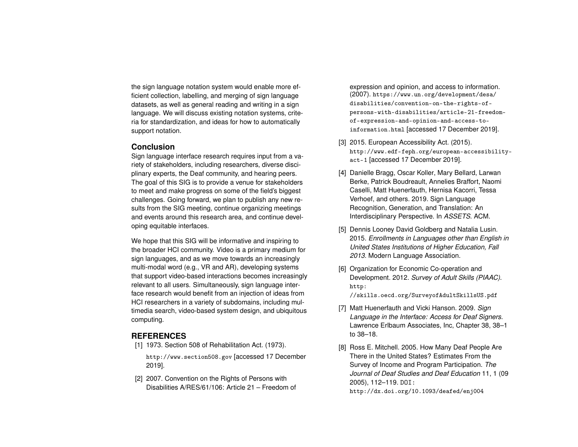the sign language notation system would enable more efficient collection, labelling, and merging of sign language datasets, as well as general reading and writing in a sign language. We will discuss existing notation systems, criteria for standardization, and ideas for how to automatically support notation.

#### **Conclusion**

Sign language interface research requires input from a variety of stakeholders, including researchers, diverse disciplinary experts, the Deaf community, and hearing peers. The goal of this SIG is to provide a venue for stakeholders to meet and make progress on some of the field's biggest challenges. Going forward, we plan to publish any new results from the SIG meeting, continue organizing meetings and events around this research area, and continue developing equitable interfaces.

We hope that this SIG will be informative and inspiring to the broader HCI community. Video is a primary medium for sign languages, and as we move towards an increasingly multi-modal word (e.g., VR and AR), developing systems that support video-based interactions becomes increasingly relevant to all users. Simultaneously, sign language interface research would benefit from an injection of ideas from HCI researchers in a variety of subdomains, including multimedia search, video-based system design, and ubiquitous computing.

## **REFERENCES**

- <span id="page-3-4"></span>[1] 1973. Section 508 of Rehabilitation Act. (1973). <http://www.section508.gov> [accessed 17 December 2019].
- <span id="page-3-3"></span>[2] 2007. Convention on the Rights of Persons with Disabilities A/RES/61/106: Article 21 – Freedom of

expression and opinion, and access to information. (2007). [https://www.un.org/development/desa/](https://www.un.org/development/desa/disabilities/convention-on-the-rights-of-persons-with-disabilities/article-21-freedom-of-expression-and-opinion-and-access-to-information.html) [disabilities/convention-on-the-rights-of](https://www.un.org/development/desa/disabilities/convention-on-the-rights-of-persons-with-disabilities/article-21-freedom-of-expression-and-opinion-and-access-to-information.html)[persons-with-disabilities/article-21-freedom](https://www.un.org/development/desa/disabilities/convention-on-the-rights-of-persons-with-disabilities/article-21-freedom-of-expression-and-opinion-and-access-to-information.html)[of-expression-and-opinion-and-access-to](https://www.un.org/development/desa/disabilities/convention-on-the-rights-of-persons-with-disabilities/article-21-freedom-of-expression-and-opinion-and-access-to-information.html)[information.html](https://www.un.org/development/desa/disabilities/convention-on-the-rights-of-persons-with-disabilities/article-21-freedom-of-expression-and-opinion-and-access-to-information.html) [accessed 17 December 2019].

- <span id="page-3-5"></span>[3] 2015. European Accessibility Act. (2015). [http://www.edf-feph.org/european-accessibility](http://www.edf-feph.org/european-accessibility-act-1)[act-1](http://www.edf-feph.org/european-accessibility-act-1) [accessed 17 December 2019].
- <span id="page-3-2"></span>[4] Danielle Bragg, Oscar Koller, Mary Bellard, Larwan Berke, Patrick Boudreault, Annelies Braffort, Naomi Caselli, Matt Huenerfauth, Hernisa Kacorri, Tessa Verhoef, and others. 2019. Sign Language Recognition, Generation, and Translation: An Interdisciplinary Perspective. In *ASSETS*. ACM.
- <span id="page-3-7"></span>[5] Dennis Looney David Goldberg and Natalia Lusin. 2015. *Enrollments in Languages other than English in United States Institutions of Higher Education, Fall 2013*. Modern Language Association.
- <span id="page-3-6"></span>[6] Organization for Economic Co-operation and Development. 2012. *Survey of Adult Skills (PIAAC)*. [http:](http://skills.oecd.org/SurveyofAdultSkillsUS.pdf) [//skills.oecd.org/SurveyofAdultSkillsUS.pdf](http://skills.oecd.org/SurveyofAdultSkillsUS.pdf)

- <span id="page-3-1"></span>[7] Matt Huenerfauth and Vicki Hanson. 2009. *Sign Language in the Interface: Access for Deaf Signers*. Lawrence Erlbaum Associates, Inc, Chapter 38, 38–1 to 38–18.
- <span id="page-3-0"></span>[8] Ross E. Mitchell. 2005. How Many Deaf People Are There in the United States? Estimates From the Survey of Income and Program Participation. *The Journal of Deaf Studies and Deaf Education* 11, 1 (09 2005), 112–119. DOI: <http://dx.doi.org/10.1093/deafed/enj004>